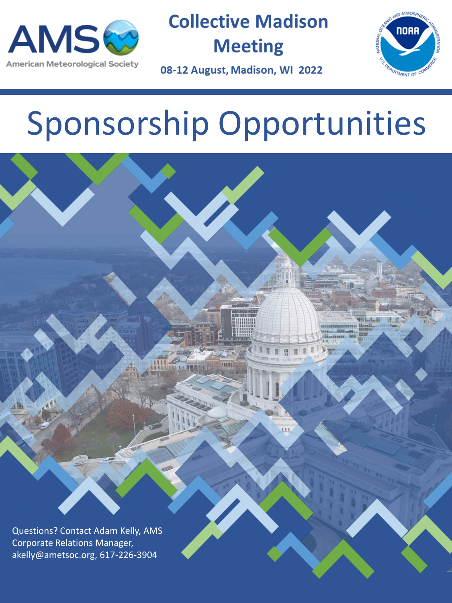

**Collective Madison Meeting** 



08-12 August, Madison, WI 2022

# Sponsorship Opportunities

Questions? Contact Adam Kelly, AMS Corporate Relations Manager, akelly@ametsoc.org, 617-226-3904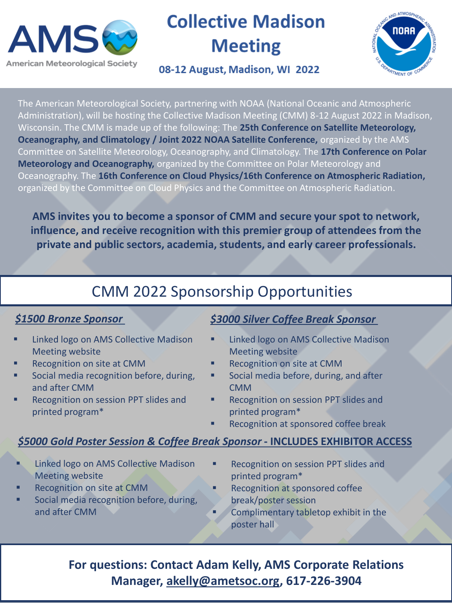

# **Collective Madison Meeting**

### 08-12 August, Madison, WI 2022



The American Meteorological Society, partnering with NOAA (National Oceanic and Atmospheric Administration), will be hosting the Collective Madison Meeting (CMM) 8-12 August 2022 in Madison, Wisconsin. The CMM is made up of the following: The **25th Conference on Satellite Meteorology, Oceanography, and Climatology / Joint 2022 NOAA Satellite Conference,** organized by the AMS Committee on Satellite Meteorology, Oceanography, and Climatology. The **17th Conference on Polar Meteorology and Oceanography,** organized by the Committee on Polar Meteorology and Oceanography. The **16th Conference on Cloud Physics/16th Conference on Atmospheric Radiation,** organized by the Committee on Cloud Physics and the Committee on Atmospheric Radiation.

**AMS invites you to become a sponsor of CMM and secure your spot to network, influence, and receive recognition with this premier group of attendees from the private and public sectors, academia, students, and early career professionals.** 

# CMM 2022 Sponsorship Opportunities

#### *\$1500 Bronze Sponsor*

- **Linked logo on AMS Collective Madison** Meeting website
- Recognition on site at CMM
- Social media recognition before, during, and after CMM
- Recognition on session PPT slides and printed program\*

#### *\$3000 Silver Coffee Break Sponsor*

- **Linked logo on AMS Collective Madison** Meeting website
- **Recognition on site at CMM**
- Social media before, during, and after CMM
- Recognition on session PPT slides and printed program\*
- Recognition at sponsored coffee break

#### *\$5000 Gold Poster Session & Coffee Break Sponsor* **- INCLUDES EXHIBITOR ACCESS**

- **Linked logo on AMS Collective Madison** Meeting website
- Recognition on site at CMM
- Social media recognition before, during, and after CMM
- **Recognition on session PPT slides and** printed program\*
- Recognition at sponsored coffee break/poster session
	- Complimentary tabletop exhibit in the poster hall

# **For questions: Contact Adam Kelly, AMS Corporate Relations Manager, [akelly@ametsoc.org](mailto:akelly@ametsoc.org), 617-226-3904**